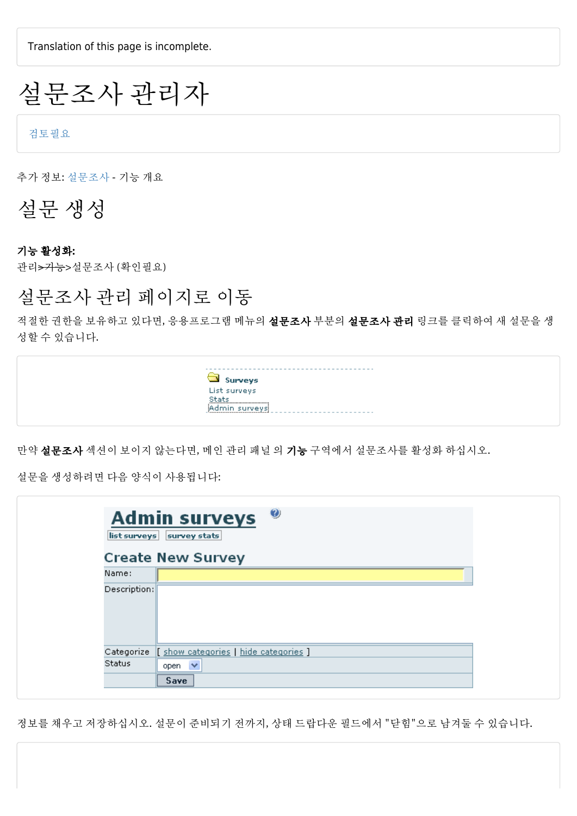Translation of this page is incomplete.

# 설문조사 관리자

[검토필요](https://doc.tiki.org/needs-review)

추가 정보: [설문조사](https://doc.tiki.org/Surveys) - 기능 개요

설문 생성

#### 기능 활성화:

관리>기능>설문조사 (확인필요)

#### 설문조사 관리 페이지로 이동

적절한 권한을 보유하고 있다면, 응용프로그램 메뉴의 설문조사 부분의 설문조사 관리 링크를 클릭하여 새 설문을 생 성할 수 있습니다.



만약 설문조사 섹션이 보이지 않는다면, 메인 [관리 패널](https://doc.tiki.org/tiki-editpage.php?page=Admin+Panel) 의 기능 구역에서 설문조사를 활성화 하십시오.

설문을 생성하려면 다음 양식이 사용됩니다:

| list surveys  | $\odot$<br><b>Admin surveys</b><br>survey stats |
|---------------|-------------------------------------------------|
|               | <b>Create New Survey</b>                        |
| Name:         |                                                 |
| Description:  |                                                 |
| Categorize    | [ show categories   hide categories ]           |
| <b>Status</b> | $\checkmark$<br>open                            |
|               | Save                                            |

정보를 채우고 저장하십시오. 설문이 준비되기 전까지, 상태 드랍다운 필드에서 "닫힘"으로 남겨둘 수 있습니다.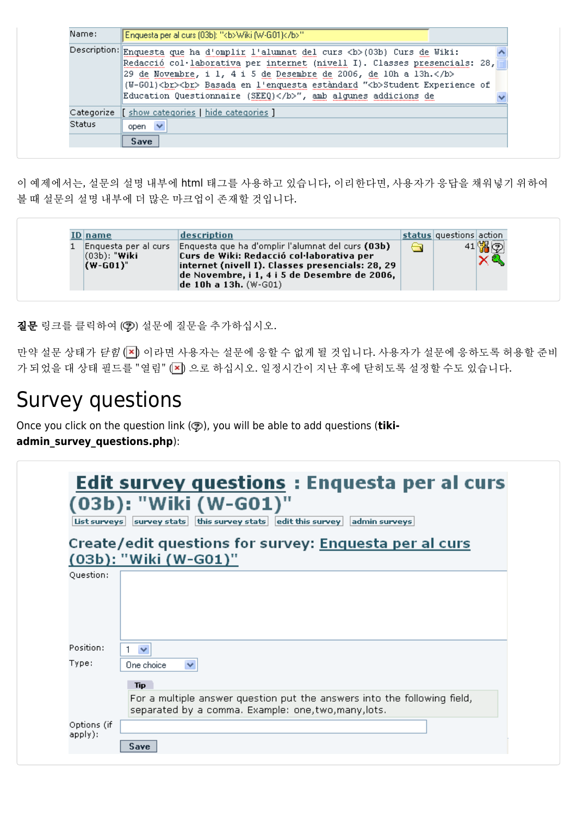| Name:         | Enquesta per al curs (03b): " <b>/wiki (W-G01)</b> "                                                                                                                                                                                                                                                                                                                                 |
|---------------|--------------------------------------------------------------------------------------------------------------------------------------------------------------------------------------------------------------------------------------------------------------------------------------------------------------------------------------------------------------------------------------|
|               | Description: Enquesta que ha d'omplir l'alumnat del curs <b> (03b) Curs de Wiki:<br/>Redacció col·laborativa per internet (nivell I). Classes presencials: 28,<br/> 29 de Novembre, i 1, 4 i 5 de Desembre de 2006, de 10h a 13h.</b><br>(W-G01)<br><br>br> Basada en l'enquesta estàndard "<br>b>Student Experience of<br>Education Questionnaire (SEEQ)", amb algunes addicions de |
|               | Categorize   show categories   hide categories ]                                                                                                                                                                                                                                                                                                                                     |
| <b>Status</b> | open $\vee$                                                                                                                                                                                                                                                                                                                                                                          |
|               | Save                                                                                                                                                                                                                                                                                                                                                                                 |

이 예제에서는, 설문의 설명 내부에 html 태그를 사용하고 있습니다, 이리한다면, 사용자가 응답을 채워넣기 위하여 볼 때 설문의 설명 내부에 더 많은 마크업이 존재할 것입니다.

| [D name                         | description                                                                                                                                                                                                                                          | status questions action |  |
|---------------------------------|------------------------------------------------------------------------------------------------------------------------------------------------------------------------------------------------------------------------------------------------------|-------------------------|--|
| $(03b)$ : "Wiki"<br>$(W-G01)$ " | Enquesta per al curs   Enquesta que ha d'omplir l'alumnat del curs (03b)<br>Curs de Wiki: Redacció col·laborativa per<br>internet (nivell I). Classes presencials: 28, 29<br>de Novembre, i 1, 4 i 5 de Desembre de 2006,<br>de 10h a 13h. $(W-G01)$ |                         |  |

질문 링크를 클릭하여 (?) 설문에 질문을 추가하십시오.

만약 설문 상태가 닫힘 (x) 이라면 사용자는 설문에 응할 수 없게 될 것입니다. 사용자가 설문에 응하도록 허용할 준비 가 되었을 대 상태 필드를 "열림" (x) 으로 하십시오. 일정시간이 지난 후에 닫히도록 설정할 수도 있습니다.

# Survey questions

Once you click on the question link ( $\circled{p}$ ), you will be able to add questions (tiki-

**admin\_survey\_questions.php**):

| List surveys           | <b>Edit survey questions : Enquesta per al curs</b><br>(03b): "Wiki (W-G01)"<br>$ $ this survey stats $ $ edit this survey<br>admin surveys<br>survey stats                  |
|------------------------|------------------------------------------------------------------------------------------------------------------------------------------------------------------------------|
|                        | Create/edit questions for survey: Enquesta per al curs<br>(03b): "Wiki (W-G01)"                                                                                              |
| Question:              |                                                                                                                                                                              |
| Position:              | $\overline{\mathbf{v}}$                                                                                                                                                      |
| Type:                  | $\checkmark$<br>One choice<br><b>Tip</b><br>For a multiple answer question put the answers into the following field,<br>separated by a comma. Example: one, two, many, lots. |
| Options (if<br>apply): | Save                                                                                                                                                                         |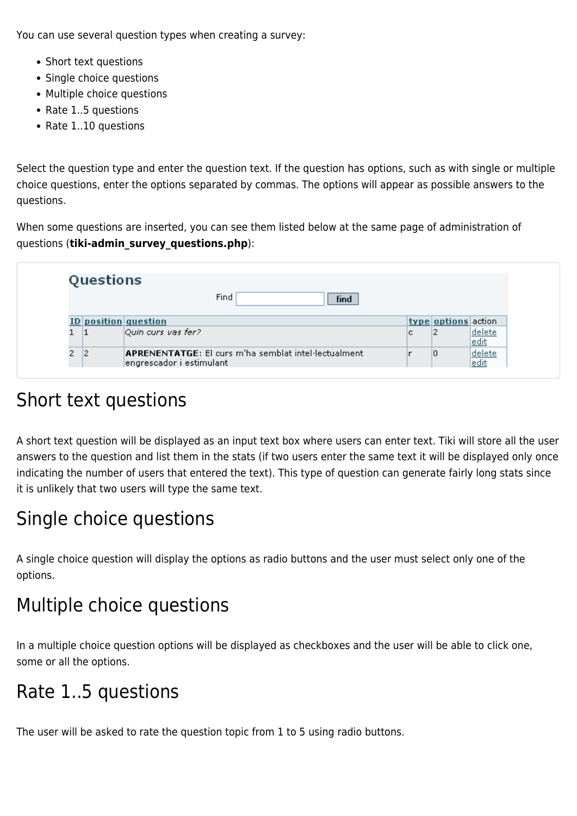You can use several question types when creating a survey:

- Short text questions
- Single choice questions
- Multiple choice questions
- Rate 1..5 questions
- Rate 1..10 questions

Select the question type and enter the question text. If the question has options, such as with single or multiple choice questions, enter the options separated by commas. The options will appear as possible answers to the questions.

When some questions are inserted, you can see them listed below at the same page of administration of questions (**tiki-admin\_survey\_questions.php**):

|   | Questions |                                                                                         |   |                     |                       |
|---|-----------|-----------------------------------------------------------------------------------------|---|---------------------|-----------------------|
|   |           | Find<br>find                                                                            |   |                     |                       |
|   |           | ID position question                                                                    |   | type options action |                       |
|   | 11        | Quin curs vas fer?                                                                      | с |                     | delete<br><u>edit</u> |
| 2 | 12        | <b>APRENENTATGE:</b> El curs m'ha semblat intel·lectualment<br>engrescador i estimulant |   | 10                  | delete<br>edit        |

#### Short text questions

A short text question will be displayed as an input text box where users can enter text. Tiki will store all the user answers to the question and list them in the stats (if two users enter the same text it will be displayed only once indicating the number of users that entered the text). This type of question can generate fairly long stats since it is unlikely that two users will type the same text.

### Single choice questions

A single choice question will display the options as radio buttons and the user must select only one of the options.

## Multiple choice questions

In a multiple choice question options will be displayed as checkboxes and the user will be able to click one, some or all the options.

### Rate 1..5 questions

The user will be asked to rate the question topic from 1 to 5 using radio buttons.